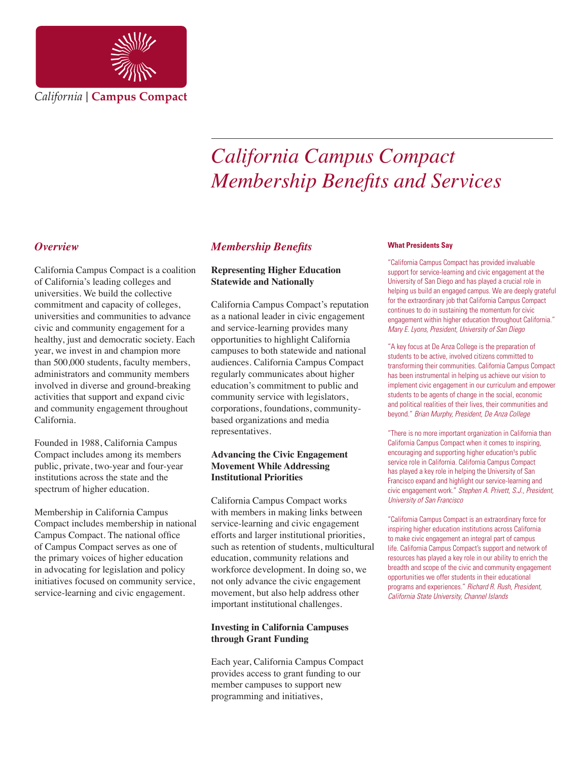

# *California Campus Compact Membership Benefits and Services*

## *Overview*

California Campus Compact is a coalition of California's leading colleges and universities. We build the collective commitment and capacity of colleges, universities and communities to advance civic and community engagement for a healthy, just and democratic society. Each year, we invest in and champion more than 500,000 students, faculty members, administrators and community members involved in diverse and ground-breaking activities that support and expand civic and community engagement throughout California.

Founded in 1988, California Campus Compact includes among its members public, private, two-year and four-year institutions across the state and the spectrum of higher education.

Membership in California Campus Compact includes membership in national Campus Compact. The national office of Campus Compact serves as one of the primary voices of higher education in advocating for legislation and policy initiatives focused on community service, service-learning and civic engagement.

# *Membership Benefits*

#### **Representing Higher Education Statewide and Nationally**

California Campus Compact's reputation as a national leader in civic engagement and service-learning provides many opportunities to highlight California campuses to both statewide and national audiences. California Campus Compact regularly communicates about higher education's commitment to public and community service with legislators, corporations, foundations, communitybased organizations and media representatives.

#### **Advancing the Civic Engagement Movement While Addressing Institutional Priorities**

California Campus Compact works with members in making links between service-learning and civic engagement efforts and larger institutional priorities, such as retention of students, multicultural education, community relations and workforce development. In doing so, we not only advance the civic engagement movement, but also help address other important institutional challenges.

#### **Investing in California Campuses through Grant Funding**

Each year, California Campus Compact provides access to grant funding to our member campuses to support new programming and initiatives,

#### **What Presidents Say**

"California Campus Compact has provided invaluable support for service-learning and civic engagement at the University of San Diego and has played a crucial role in helping us build an engaged campus. We are deeply grateful for the extraordinary job that California Campus Compact continues to do in sustaining the momentum for civic engagement within higher education throughout California." *Mary E. Lyons, President, University of San Diego*

"A key focus at De Anza College is the preparation of students to be active, involved citizens committed to transforming their communities. California Campus Compact has been instrumental in helping us achieve our vision to implement civic engagement in our curriculum and empower students to be agents of change in the social, economic and political realities of their lives, their communities and beyond." *Brian Murphy, President, De Anza College*

"There is no more important organization in California than California Campus Compact when it comes to inspiring, encouraging and supporting higher education<sup>1</sup>s public service role in California. California Campus Compact has played a key role in helping the University of San Francisco expand and highlight our service-learning and civic engagement work." *Stephen A. Privett, S.J., President, University of San Francisco*

"California Campus Compact is an extraordinary force for inspiring higher education institutions across California to make civic engagement an integral part of campus life. California Campus Compact's support and network of resources has played a key role in our ability to enrich the breadth and scope of the civic and community engagement opportunities we offer students in their educational programs and experiences." *Richard R. Rush, President, California State University, Channel Islands*